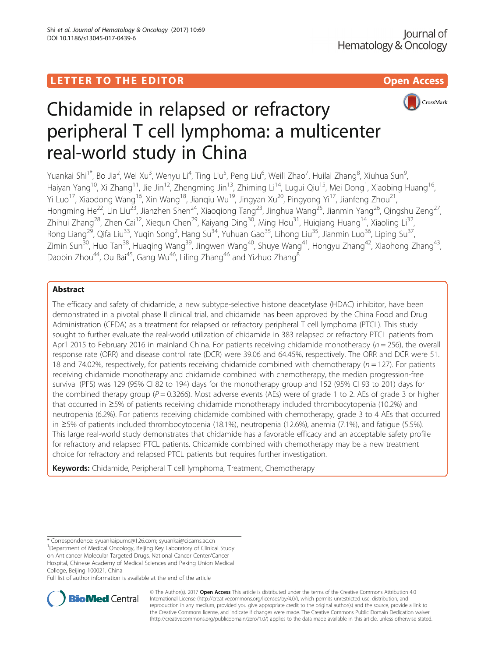

# Chidamide in relapsed or refractory peripheral T cell lymphoma: a multicenter real-world study in China

Yuankai Shi<sup>1\*</sup>, Bo Jia<sup>2</sup>, Wei Xu<sup>3</sup>, Wenyu Li<sup>4</sup>, Ting Liu<sup>5</sup>, Peng Liu<sup>6</sup>, Weili Zhao<sup>7</sup>, Huilai Zhang<sup>8</sup>, Xiuhua Sun<sup>s</sup> , Haiyan Yang<sup>10</sup>, Xi Zhang<sup>11</sup>, Jie Jin<sup>12</sup>, Zhengming Jin<sup>13</sup>, Zhiming Li<sup>14</sup>, Lugui Qiu<sup>15</sup>, Mei Dong<sup>1</sup>, Xiaobing Huang<sup>16</sup>, Yi Luo<sup>17</sup>, Xiaodong Wang<sup>16</sup>, Xin Wang<sup>18</sup>, Jiangiu Wu<sup>19</sup>, Jingyan Xu<sup>20</sup>, Pingyong Yi<sup>17</sup>, Jianfeng Zhou<sup>21</sup>, Hongming He<sup>22</sup>, Lin Liu<sup>23</sup>, Jianzhen Shen<sup>24</sup>, Xiaoqiong Tang<sup>23</sup>, Jinghua Wang<sup>25</sup>, Jianmin Yang<sup>26</sup>, Qingshu Zeng<sup>27</sup>, Zhihui Zhang<sup>28</sup>, Zhen Cai<sup>12</sup>, Xiequn Chen<sup>29</sup>, Kaiyang Ding<sup>30</sup>, Ming Hou<sup>31</sup>, Huiqiang Huang<sup>14</sup>, Xiaoling Li<sup>32</sup>, Rong Liang<sup>29</sup>, Qifa Liu<sup>33</sup>, Yuqin Song<sup>2</sup>, Hang Su<sup>34</sup>, Yuhuan Gao<sup>35</sup>, Lihong Liu<sup>35</sup>, Jianmin Luo<sup>36</sup>, Liping Su<sup>37</sup>, Zimin Sun<sup>30</sup>, Huo Tan<sup>38</sup>, Huaqing Wang<sup>39</sup>, Jingwen Wang<sup>40</sup>, Shuye Wang<sup>41</sup>, Hongyu Zhang<sup>42</sup>, Xiaohong Zhang<sup>43</sup>, Daobin Zhou<sup>44</sup>, Ou Bai<sup>45</sup>, Gang Wu<sup>46</sup>, Liling Zhang<sup>46</sup> and Yizhuo Zhang<sup>8</sup>

# Abstract

The efficacy and safety of chidamide, a new subtype-selective histone deacetylase (HDAC) inhibitor, have been demonstrated in a pivotal phase II clinical trial, and chidamide has been approved by the China Food and Drug Administration (CFDA) as a treatment for relapsed or refractory peripheral T cell lymphoma (PTCL). This study sought to further evaluate the real-world utilization of chidamide in 383 relapsed or refractory PTCL patients from April 2015 to February 2016 in mainland China. For patients receiving chidamide monotherapy ( $n = 256$ ), the overall response rate (ORR) and disease control rate (DCR) were 39.06 and 64.45%, respectively. The ORR and DCR were 51. 18 and 74.02%, respectively, for patients receiving chidamide combined with chemotherapy ( $n = 127$ ). For patients receiving chidamide monotherapy and chidamide combined with chemotherapy, the median progression-free survival (PFS) was 129 (95% CI 82 to 194) days for the monotherapy group and 152 (95% CI 93 to 201) days for the combined therapy group ( $P = 0.3266$ ). Most adverse events (AEs) were of grade 1 to 2. AEs of grade 3 or higher that occurred in ≥5% of patients receiving chidamide monotherapy included thrombocytopenia (10.2%) and neutropenia (6.2%). For patients receiving chidamide combined with chemotherapy, grade 3 to 4 AEs that occurred in ≥5% of patients included thrombocytopenia (18.1%), neutropenia (12.6%), anemia (7.1%), and fatigue (5.5%). This large real-world study demonstrates that chidamide has a favorable efficacy and an acceptable safety profile for refractory and relapsed PTCL patients. Chidamide combined with chemotherapy may be a new treatment choice for refractory and relapsed PTCL patients but requires further investigation.

Keywords: Chidamide, Peripheral T cell lymphoma, Treatment, Chemotherapy

Full list of author information is available at the end of the article



© The Author(s). 2017 **Open Access** This article is distributed under the terms of the Creative Commons Attribution 4.0 International License [\(http://creativecommons.org/licenses/by/4.0/](http://creativecommons.org/licenses/by/4.0/)), which permits unrestricted use, distribution, and reproduction in any medium, provided you give appropriate credit to the original author(s) and the source, provide a link to the Creative Commons license, and indicate if changes were made. The Creative Commons Public Domain Dedication waiver [\(http://creativecommons.org/publicdomain/zero/1.0/](http://creativecommons.org/publicdomain/zero/1.0/)) applies to the data made available in this article, unless otherwise stated.

<sup>\*</sup> Correspondence: [syuankaipumc@126.com;](mailto:syuankaipumc@126.com) [syuankai@cicams.ac.cn](mailto:syuankai@cicams.ac.cn) <sup>1</sup> <sup>1</sup>Department of Medical Oncology, Beijing Key Laboratory of Clinical Study on Anticancer Molecular Targeted Drugs, National Cancer Center/Cancer Hospital, Chinese Academy of Medical Sciences and Peking Union Medical College, Beijing 100021, China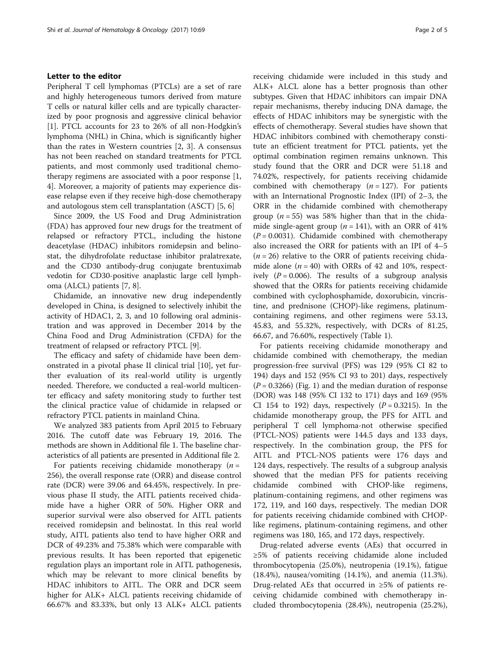## Letter to the editor

Peripheral T cell lymphomas (PTCLs) are a set of rare and highly heterogeneous tumors derived from mature T cells or natural killer cells and are typically characterized by poor prognosis and aggressive clinical behavior [[1\]](#page-4-0). PTCL accounts for 23 to 26% of all non-Hodgkin's lymphoma (NHL) in China, which is significantly higher than the rates in Western countries [[2, 3](#page-4-0)]. A consensus has not been reached on standard treatments for PTCL patients, and most commonly used traditional chemotherapy regimens are associated with a poor response [\[1](#page-4-0), [4\]](#page-4-0). Moreover, a majority of patients may experience disease relapse even if they receive high-dose chemotherapy and autologous stem cell transplantation (ASCT) [\[5](#page-4-0), [6](#page-4-0)]

Since 2009, the US Food and Drug Administration (FDA) has approved four new drugs for the treatment of relapsed or refractory PTCL, including the histone deacetylase (HDAC) inhibitors romidepsin and belinostat, the dihydrofolate reductase inhibitor pralatrexate, and the CD30 antibody-drug conjugate brentuximab vedotin for CD30-positive anaplastic large cell lymphoma (ALCL) patients [[7](#page-4-0), [8](#page-4-0)].

Chidamide, an innovative new drug independently developed in China, is designed to selectively inhibit the activity of HDAC1, 2, 3, and 10 following oral administration and was approved in December 2014 by the China Food and Drug Administration (CFDA) for the treatment of relapsed or refractory PTCL [[9\]](#page-4-0).

The efficacy and safety of chidamide have been demonstrated in a pivotal phase II clinical trial [\[10\]](#page-4-0), yet further evaluation of its real-world utility is urgently needed. Therefore, we conducted a real-world multicenter efficacy and safety monitoring study to further test the clinical practice value of chidamide in relapsed or refractory PTCL patients in mainland China.

We analyzed 383 patients from April 2015 to February 2016. The cutoff date was February 19, 2016. The methods are shown in Additional file [1.](#page-3-0) The baseline characteristics of all patients are presented in Additional file [2](#page-3-0).

For patients receiving chidamide monotherapy  $(n =$ 256), the overall response rate (ORR) and disease control rate (DCR) were 39.06 and 64.45%, respectively. In previous phase II study, the AITL patients received chidamide have a higher ORR of 50%. Higher ORR and superior survival were also observed for AITL patients received romidepsin and belinostat. In this real world study, AITL patients also tend to have higher ORR and DCR of 49.23% and 75.38% which were comparable with previous results. It has been reported that epigenetic regulation plays an important role in AITL pathogenesis, which may be relevant to more clinical benefits by HDAC inhibitors to AITL. The ORR and DCR seem higher for ALK+ ALCL patients receiving chidamide of 66.67% and 83.33%, but only 13 ALK+ ALCL patients receiving chidamide were included in this study and ALK+ ALCL alone has a better prognosis than other subtypes. Given that HDAC inhibitors can impair DNA repair mechanisms, thereby inducing DNA damage, the effects of HDAC inhibitors may be synergistic with the effects of chemotherapy. Several studies have shown that HDAC inhibitors combined with chemotherapy constitute an efficient treatment for PTCL patients, yet the optimal combination regimen remains unknown. This study found that the ORR and DCR were 51.18 and 74.02%, respectively, for patients receiving chidamide combined with chemotherapy  $(n = 127)$ . For patients with an International Prognostic Index (IPI) of 2–3, the ORR in the chidamide combined with chemotherapy group ( $n = 55$ ) was 58% higher than that in the chidamide single-agent group ( $n = 141$ ), with an ORR of 41%  $(P = 0.0031)$ . Chidamide combined with chemotherapy also increased the ORR for patients with an IPI of 4–5  $(n = 26)$  relative to the ORR of patients receiving chidamide alone  $(n = 40)$  with ORRs of 42 and 10%, respectively  $(P = 0.006)$ . The results of a subgroup analysis showed that the ORRs for patients receiving chidamide combined with cyclophosphamide, doxorubicin, vincristine, and prednisone (CHOP)-like regimens, platinumcontaining regimens, and other regimens were 53.13, 45.83, and 55.32%, respectively, with DCRs of 81.25, 66.67, and 76.60%, respectively (Table [1](#page-2-0)).

For patients receiving chidamide monotherapy and chidamide combined with chemotherapy, the median progression-free survival (PFS) was 129 (95% CI 82 to 194) days and 152 (95% CI 93 to 201) days, respectively  $(P = 0.3266)$  (Fig. [1](#page-3-0)) and the median duration of response (DOR) was 148 (95% CI 132 to 171) days and 169 (95% CI 154 to 192) days, respectively  $(P = 0.3215)$ . In the chidamide monotherapy group, the PFS for AITL and peripheral T cell lymphoma-not otherwise specified (PTCL-NOS) patients were 144.5 days and 133 days, respectively. In the combination group, the PFS for AITL and PTCL-NOS patients were 176 days and 124 days, respectively. The results of a subgroup analysis showed that the median PFS for patients receiving chidamide combined with CHOP-like regimens, platinum-containing regimens, and other regimens was 172, 119, and 160 days, respectively. The median DOR for patients receiving chidamide combined with CHOPlike regimens, platinum-containing regimens, and other regimens was 180, 165, and 172 days, respectively.

Drug-related adverse events (AEs) that occurred in ≥5% of patients receiving chidamide alone included thrombocytopenia (25.0%), neutropenia (19.1%), fatigue (18.4%), nausea/vomiting (14.1%), and anemia (11.3%). Drug-related AEs that occurred in ≥5% of patients receiving chidamide combined with chemotherapy included thrombocytopenia (28.4%), neutropenia (25.2%),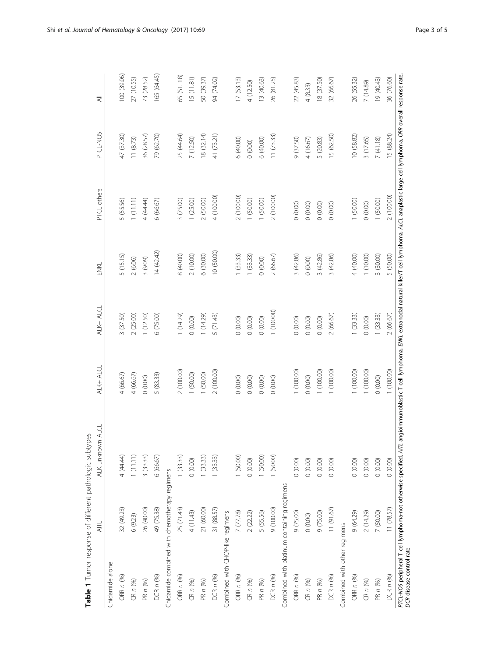<span id="page-2-0"></span>

|                                  | AITL                                                              | ALK unknown ALCL | ALK+ ALCL  | ALK-ALCL   | ENKL       | PTCL others                                                                                                                                         | PTCL-NOS   | $\overline{\overline{z}}$ |
|----------------------------------|-------------------------------------------------------------------|------------------|------------|------------|------------|-----------------------------------------------------------------------------------------------------------------------------------------------------|------------|---------------------------|
|                                  |                                                                   |                  |            |            |            |                                                                                                                                                     |            |                           |
| Chidamide alone                  |                                                                   |                  |            |            |            |                                                                                                                                                     |            |                           |
| ORR n (%)                        | 32 (49.23)                                                        | 4 (44.44)        | 4(66.67)   | 3 (37.50)  | 5 (15.15)  | 5 (55.56)                                                                                                                                           | 47 (37.30) | 00 (39.06)                |
| CRn(96)                          | 6(9.23)                                                           | 1(11.11)         | 4 (66.67)  | 2(25.00)   | 2(6.06)    | 1(11.11)                                                                                                                                            | 11(8.73)   | 27 (10.55)                |
| PR n (%)                         | 26 (40.00)                                                        | 3(33.33)         | (0.00)     | 1(12.50)   | 3 (9.09)   | 4 (44.44)                                                                                                                                           | 36 (28.57) | 73 (28.52)                |
| DCR n (%)                        | 49 (75.38)                                                        | 6(66.67)         | 5 (83.33)  | 6 (75.00)  | (42.42)    | 6(66.67)                                                                                                                                            | 79 (62.70) | 165 (64.45)               |
|                                  | Chidamide combined with chemotherapy regimens                     |                  |            |            |            |                                                                                                                                                     |            |                           |
| ORR n (%)                        | 25 (71.43)                                                        | 1(33.33)         | 2 (100.00) | (14.29)    | 8 (40.00)  | 3 (75.00)                                                                                                                                           | 25 (44.64) | 65 (51.18)                |
| CRn(%)                           | 4 (11.43)                                                         | $0$ (0.00) $\,$  | (50.00)    | (0.00)     | 2(10.00)   | 1(25.00)                                                                                                                                            | 7 (12.50)  | (5(11.81)                 |
| PR n (%)                         | 21 (60.00)                                                        | 1(33.33)         | (50.00)    | 1 (14.29)  | 6(30.00)   | 2(50.00)                                                                                                                                            | 8 (32.14)  | 50 (39.37)                |
| DCR n (%)                        | 31 (88.57)                                                        | (33.33)          | 2 (100.00) | 5 (71.43)  | 10 (50.00) | 4 (100.00)                                                                                                                                          | 41 (73.21) | 94 (74.02)                |
| Combined with CHOP-like regimens |                                                                   |                  |            |            |            |                                                                                                                                                     |            |                           |
| ORR n (%)                        | 7 (77.78)                                                         | 1 (50.00)        | (0.00)     | (0.00)     | 1(33.33)   | 2 (100.00)                                                                                                                                          | 6 (40.00)  | 17(53.13)                 |
| CRn(%)                           | 2(22.22)                                                          | (0.00)           | (0.00)     | (0.00)     | 1(33.33)   | (50.00)                                                                                                                                             | (0.00)     | 4 (12.50)                 |
| PR n (%)                         | 5 (55.56)                                                         | 1(50.00)         | (0.00)     | (0.00)     | (0.00)     | 1 (50.00)                                                                                                                                           | 6(40.00)   | 13 (40.63)                |
| DCR n (%)                        | (00000)                                                           | 1(50.00)         | (0.00)     | 1 (100.00) | 2(66.67)   | 2 (100.00)                                                                                                                                          | 11(73.33)  | 26 (81.25)                |
|                                  | Combined with platinum-containing regimens                        |                  |            |            |            |                                                                                                                                                     |            |                           |
| <b>ORR n (%)</b>                 | 9(75.00)                                                          | (0.00)           | (100.00)   | (0.00)     | 3(42.86)   | (0.00)                                                                                                                                              | 9 (37.50)  | 22 (45.83)                |
| CRn(%)                           | (0.00)                                                            | (0.00)           | (0.00)     | (0.00)     | (0.00)     | (0.00)                                                                                                                                              | 4(16.67)   | 4(8.33)                   |
| PR n (%)                         | 9(75.00)                                                          | (0.00)           | (100.00)   | (0.00)     | 3(42.86)   | (0.00)                                                                                                                                              | 5 (20.83)  | 8 (37.50)                 |
| DCR n (%)                        | 11(91.67)                                                         | (0.00)           | 1 (100.00) | 2 (66.67)  | 3 (42.86)  | (0.00)                                                                                                                                              | 15 (62.50) | 32 (66.67)                |
| Combined with other regimens     |                                                                   |                  |            |            |            |                                                                                                                                                     |            |                           |
| <b>ORR n (%)</b>                 | 9 (64.29)                                                         | (0.00)           | (100.00)   | 1(33.33)   | 4 (40.00)  | 1(50.00)                                                                                                                                            | 10 (58.82) | 26 (55.32)                |
| CR n (%)                         | 2(14.29)                                                          | (0.00)           | (100.00)   | (0.00)     | 1(10.00)   | (0.00)                                                                                                                                              | 3 (17.65)  | 7 (14.89)                 |
| PR n (%)                         | 7 (50.00)                                                         | (0.00)           | (0.00)     | 1 (33.33)  | 3 (30.00)  | 1(50.00)                                                                                                                                            | 7(41.18)   | 9(40.43)                  |
| DCR <sub>n</sub> (%)             | 11 (78.57)                                                        | (0.00)           | 1(100.00)  | 2(6667)    | 5 (50.00)  | 2 (100.00)                                                                                                                                          | 15 (88.24) | 36 (76.60)                |
| DCR disease control rate         | PTCL-NOS peripheral T cell lymphoma-not otherwise specified, AITL |                  |            |            |            | angioimmunoblastic T cell lymphoma, EWCL extranodal natural killer/T cell lymphoma, ALCL anaplastic large cell lymphoma, ORR overall response rate, |            |                           |

Table 1 Tumor response of different pathologic subtypes **Table 1** Tumor response of different pathologic subtypes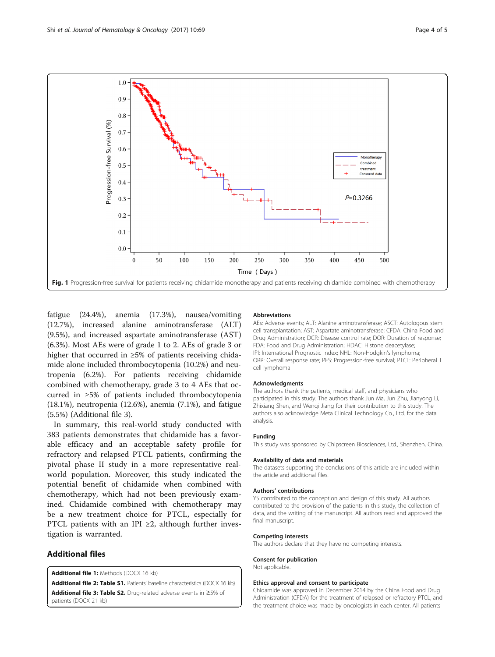<span id="page-3-0"></span>

fatigue (24.4%), anemia (17.3%), nausea/vomiting (12.7%), increased alanine aminotransferase (ALT) (9.5%), and increased aspartate aminotransferase (AST) (6.3%). Most AEs were of grade 1 to 2. AEs of grade 3 or higher that occurred in ≥5% of patients receiving chidamide alone included thrombocytopenia (10.2%) and neutropenia (6.2%). For patients receiving chidamide combined with chemotherapy, grade 3 to 4 AEs that occurred in ≥5% of patients included thrombocytopenia (18.1%), neutropenia (12.6%), anemia (7.1%), and fatigue (5.5%) (Additional file 3).

In summary, this real-world study conducted with 383 patients demonstrates that chidamide has a favorable efficacy and an acceptable safety profile for refractory and relapsed PTCL patients, confirming the pivotal phase II study in a more representative realworld population. Moreover, this study indicated the potential benefit of chidamide when combined with chemotherapy, which had not been previously examined. Chidamide combined with chemotherapy may be a new treatment choice for PTCL, especially for PTCL patients with an IPI  $\geq$ 2, although further investigation is warranted.

## Additional files

[Additional file 1:](dx.doi.org/10.1186/s13045-017-0439-6) Methods (DOCX 16 kb)

[Additional file 2: Table S1.](dx.doi.org/10.1186/s13045-017-0439-6) Patients' baseline characteristics (DOCX 16 kb) [Additional file 3: Table S2.](dx.doi.org/10.1186/s13045-017-0439-6) Drug-related adverse events in ≥5% of patients (DOCX 21 kb)

#### Abbreviations

AEs: Adverse events; ALT: Alanine aminotransferase; ASCT: Autologous stem cell transplantation; AST: Aspartate aminotransferase; CFDA: China Food and Drug Administration; DCR: Disease control rate; DOR: Duration of response; FDA: Food and Drug Administration; HDAC: Histone deacetylase; IPI: International Prognostic Index; NHL: Non-Hodgkin's lymphoma; ORR: Overall response rate; PFS: Progression-free survival; PTCL: Peripheral T cell lymphoma

#### Acknowledgments

The authors thank the patients, medical staff, and physicians who participated in this study. The authors thank Jun Ma, Jun Zhu, Jianyong Li, Zhixiang Shen, and Wengi Jiang for their contribution to this study. The authors also acknowledge Meta Clinical Technology Co., Ltd. for the data analysis.

#### Funding

This study was sponsored by Chipscreen Biosciences, Ltd., Shenzhen, China.

#### Availability of data and materials

The datasets supporting the conclusions of this article are included within the article and additional files.

#### Authors' contributions

YS contributed to the conception and design of this study. All authors contributed to the provision of the patients in this study, the collection of data, and the writing of the manuscript. All authors read and approved the final manuscript.

#### Competing interests

The authors declare that they have no competing interests.

#### Consent for publication

Not applicable.

#### Ethics approval and consent to participate

Chidamide was approved in December 2014 by the China Food and Drug Administration (CFDA) for the treatment of relapsed or refractory PTCL, and the treatment choice was made by oncologists in each center. All patients